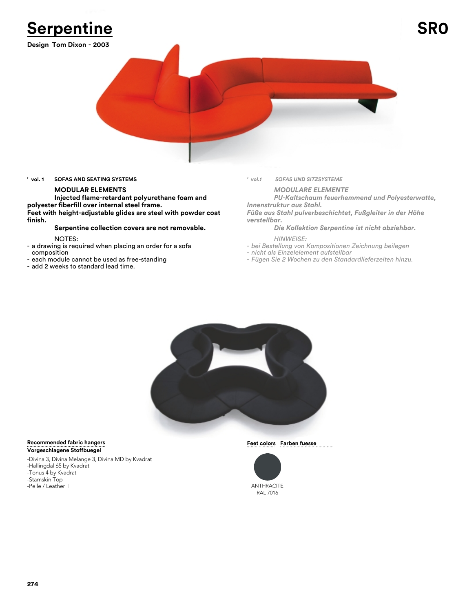

**Design Tom Dixon - 2003**



# **' vol. 1 SOFAS AND SEATING SYSTEMS**

### **MODULAR ELEMENTS**

**Injected flame-retardant polyurethane foam and polyester fiberfill over internal steel frame. Feet with height-adjustable glides are steel with powder coat finish.**

#### **Serpentine collection covers are not removable.**

#### NOTES:

- a drawing is required when placing an order for a sofa composition
- each module cannot be used as free-standing
- add 2 weeks to standard lead time.

#### *' vol.1 SOFAS UND SITZSYSTEME*

*MODULARE ELEMENTE*

*PU-Kaltschaum feuerhemmend und Polyesterwatte, Innenstruktur aus Stahl.*

*Füße aus Stahl pulverbeschichtet, Fußgleiter in der Höhe verstellbar.*

*Die Kollektion Serpentine ist nicht abziehbar.*

- *HINWEISE:*
- *bei Bestellung von Kompositionen Zeichnung beilegen*
- *nicht als Einzelelement aufstellbar*
- *Fügen Sie 2 Wochen zu den Standardlieferzeiten hinzu.*



#### **Recommended fabric hangers Vorgeschlagene Stoffbuegel**

-Divina 3, Divina Melange 3, Divina MD by Kvadrat -Hallingdal 65 by Kvadrat -Tonus 4 by Kvadrat -Stamskin Top -Pelle / Leather T<br>-Pelle / Leather T

**Feet colors** Farben fuesse



RAL 7016